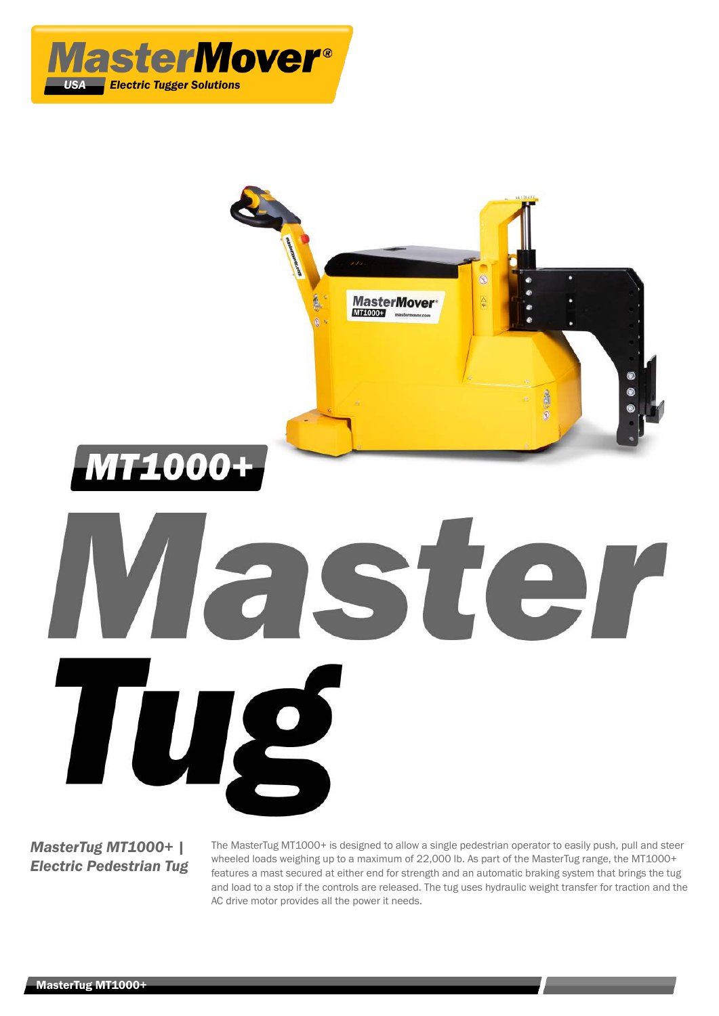



ST

# *MasterTug MT1000+ | Electric Pedestrian Tug*

TU

The MasterTug MT1000+ is designed to allow a single pedestrian operator to easily push, pull and steer wheeled loads weighing up to a maximum of 22,000 lb. As part of the MasterTug range, the MT1000+ features a mast secured at either end for strength and an automatic braking system that brings the tug and load to a stop if the controls are released. The tug uses hydraulic weight transfer for traction and the AC drive motor provides all the power it needs.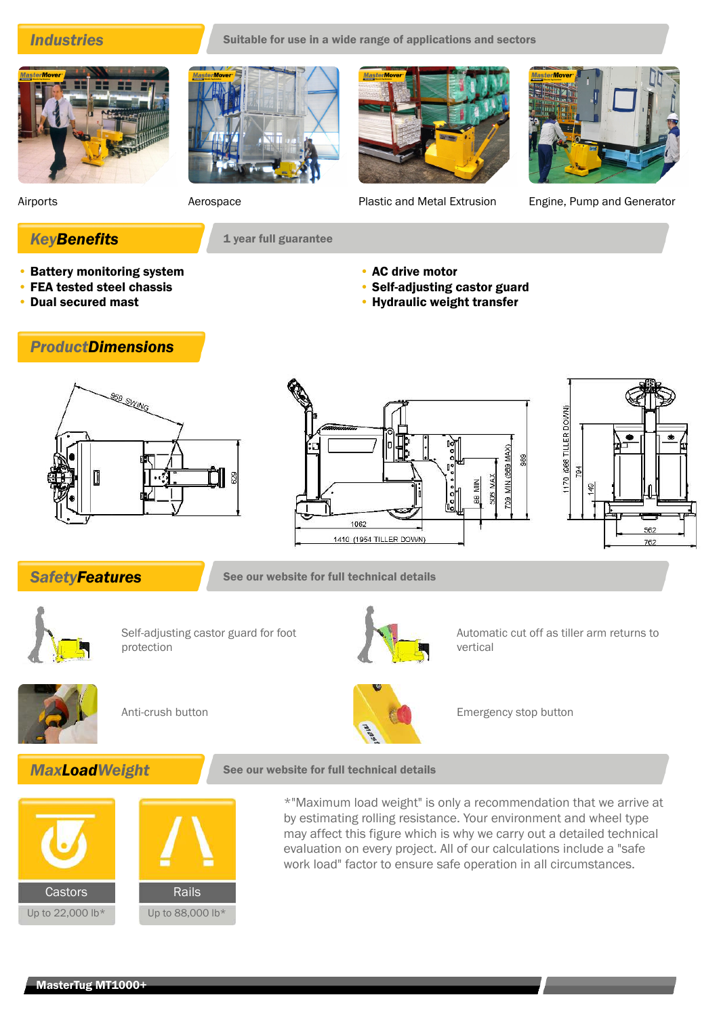**Industries** Suitable for use in a wide range of applications and sectors







Airports **Aerospace** Aerospace **Plastic and Metal Extrusion** Engine, Pump and Generator

# **KeyBenefits** 1 year full guarantee

- Battery monitoring system
- FEA tested steel chassis

*ProductDimensions*

• Dual secured mast

- AC drive motor
	- Self-adjusting castor guard
	- Hydraulic weight transfer







**SafetyFeatures** See our website for full technical details



Self-adjusting castor guard for foot protection









Anti-crush button **Emergency stop button** Emergency stop button





\*"Maximum load weight" is only a recommendation that we arrive at by estimating rolling resistance. Your environment and wheel type may affect this figure which is why we carry out a detailed technical evaluation on every project. All of our calculations include a "safe work load" factor to ensure safe operation in all circumstances.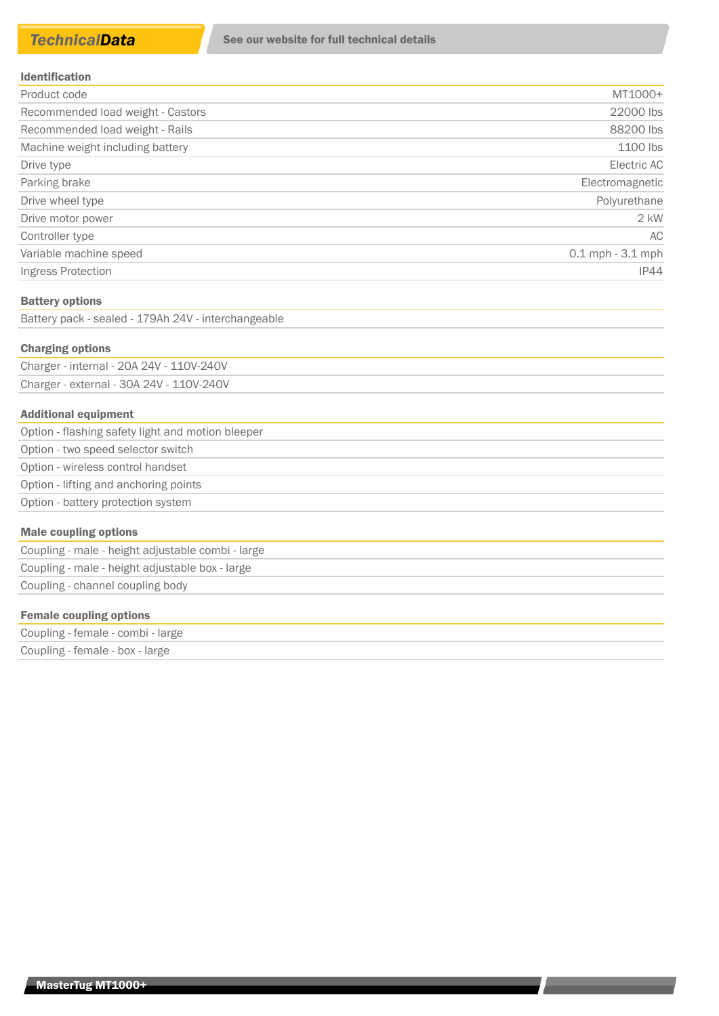| Product code                      | MT1000+              |
|-----------------------------------|----------------------|
| Recommended load weight - Castors | 22000 lbs            |
| Recommended load weight - Rails   | 88200 lbs            |
| Machine weight including battery  | 1100 lbs             |
| Drive type                        | Electric AC          |
| Parking brake                     | Electromagnetic      |
| Drive wheel type                  | Polyurethane         |
| Drive motor power                 | $2$ kW               |
| Controller type                   | AC                   |
| Variable machine speed            | $0.1$ mph $-3.1$ mph |
| Ingress Protection                | IP44                 |

#### Battery options

Battery pack - sealed - 179Ah 24V - interchangeable

### Charging options

Charger - internal - 20A 24V - 110V-240V Charger - external - 30A 24V - 110V-240V

#### Additional equipment

| _____                                             |  |
|---------------------------------------------------|--|
| Option - battery protection system                |  |
| Option - lifting and anchoring points             |  |
| Option - wireless control handset                 |  |
| Option - two speed selector switch                |  |
| Option - flashing safety light and motion bleeper |  |

### Male coupling options

Coupling - male - height adjustable combi - large Coupling - male - height adjustable box - large Coupling - channel coupling body

### Female coupling options

| Coupling - female - combi - large |  |
|-----------------------------------|--|
| Coupling - female - box - large   |  |